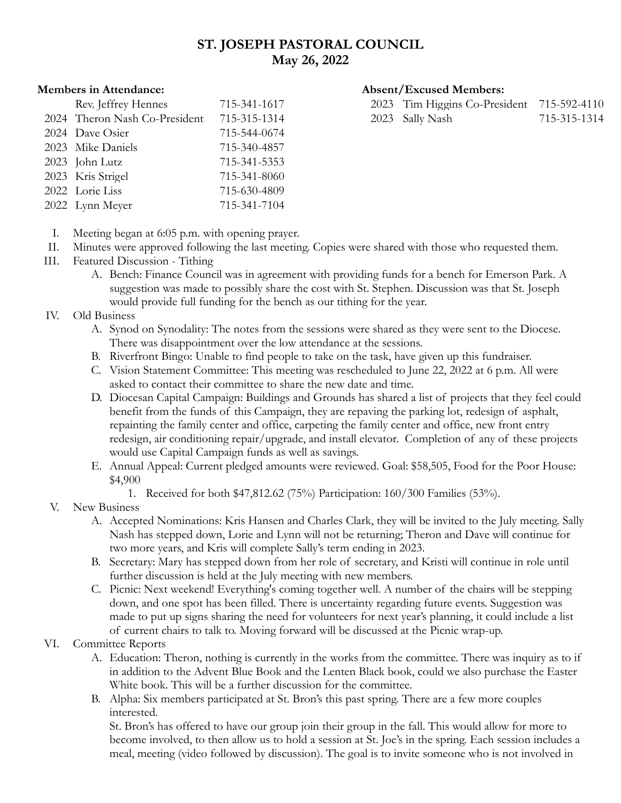# **ST. JOSEPH PASTORAL COUNCIL May 26, 2022**

## Rev. Jeffrey Hennes 715-341-1617 2024 Theron Nash Co-President 715-315-1314 2024 Dave Osier 715-544-0674 2023 Mike Daniels 715-340-4857 2023 John Lutz 715-341-5353 2023 Kris Strigel 715-341-8060 2022 Lorie Liss 715-630-4809 2022 Lynn Meyer 715-341-7104

#### **Members in Attendance: Absent/Excused Members:**

| 2023 Tim Higgins Co-President 715-592-4110 |              |
|--------------------------------------------|--------------|
| 2023 Sally Nash                            | 715-315-1314 |

- I. Meeting began at 6:05 p.m. with opening prayer.
- II. Minutes were approved following the last meeting. Copies were shared with those who requested them.
- III. Featured Discussion Tithing
	- A. Bench: Finance Council was in agreement with providing funds for a bench for Emerson Park. A suggestion was made to possibly share the cost with St. Stephen. Discussion was that St. Joseph would provide full funding for the bench as our tithing for the year.
- IV. Old Business
	- A. Synod on Synodality: The notes from the sessions were shared as they were sent to the Diocese. There was disappointment over the low attendance at the sessions.
	- B. Riverfront Bingo: Unable to find people to take on the task, have given up this fundraiser.
	- C. Vision Statement Committee: This meeting was rescheduled to June 22, 2022 at 6 p.m. All were asked to contact their committee to share the new date and time.
	- D. Diocesan Capital Campaign: Buildings and Grounds has shared a list of projects that they feel could benefit from the funds of this Campaign, they are repaving the parking lot, redesign of asphalt, repainting the family center and office, carpeting the family center and office, new front entry redesign, air conditioning repair/upgrade, and install elevator. Completion of any of these projects would use Capital Campaign funds as well as savings.
	- E. Annual Appeal: Current pledged amounts were reviewed. Goal: \$58,505, Food for the Poor House: \$4,900
		- 1. Received for both \$47,812.62 (75%) Participation: 160/300 Families (53%).
- V. New Business
	- A. Accepted Nominations: Kris Hansen and Charles Clark, they will be invited to the July meeting. Sally Nash has stepped down, Lorie and Lynn will not be returning; Theron and Dave will continue for two more years, and Kris will complete Sally's term ending in 2023.
	- B. Secretary: Mary has stepped down from her role of secretary, and Kristi will continue in role until further discussion is held at the July meeting with new members.
	- C. Picnic: Next weekend! Everything's coming together well. A number of the chairs will be stepping down, and one spot has been filled. There is uncertainty regarding future events. Suggestion was made to put up signs sharing the need for volunteers for next year's planning, it could include a list of current chairs to talk to. Moving forward will be discussed at the Picnic wrap-up.

### VI. Committee Reports

- A. Education: Theron, nothing is currently in the works from the committee. There was inquiry as to if in addition to the Advent Blue Book and the Lenten Black book, could we also purchase the Easter White book. This will be a further discussion for the committee.
- B. Alpha: Six members participated at St. Bron's this past spring. There are a few more couples interested.

St. Bron's has offered to have our group join their group in the fall. This would allow for more to become involved, to then allow us to hold a session at St. Joe's in the spring. Each session includes a meal, meeting (video followed by discussion). The goal is to invite someone who is not involved in